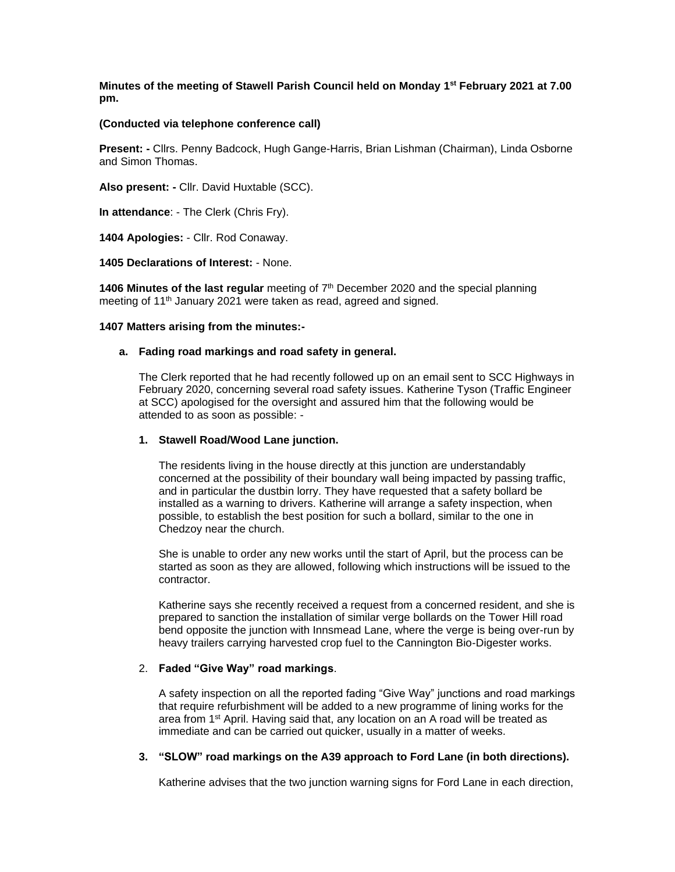**Minutes of the meeting of Stawell Parish Council held on Monday 1st February 2021 at 7.00 pm.**

# **(Conducted via telephone conference call)**

**Present: -** Cllrs. Penny Badcock, Hugh Gange-Harris, Brian Lishman (Chairman), Linda Osborne and Simon Thomas.

**Also present: -** Cllr. David Huxtable (SCC).

**In attendance**: - The Clerk (Chris Fry).

**1404 Apologies:** - Cllr. Rod Conaway.

**1405 Declarations of Interest:** - None.

**1406 Minutes of the last regular** meeting of 7<sup>th</sup> December 2020 and the special planning meeting of 11th January 2021 were taken as read, agreed and signed.

#### **1407 Matters arising from the minutes:-**

# **a. Fading road markings and road safety in general.**

The Clerk reported that he had recently followed up on an email sent to SCC Highways in February 2020, concerning several road safety issues. Katherine Tyson (Traffic Engineer at SCC) apologised for the oversight and assured him that the following would be attended to as soon as possible: -

# **1. Stawell Road/Wood Lane junction.**

The residents living in the house directly at this junction are understandably concerned at the possibility of their boundary wall being impacted by passing traffic, and in particular the dustbin lorry. They have requested that a safety bollard be installed as a warning to drivers. Katherine will arrange a safety inspection, when possible, to establish the best position for such a bollard, similar to the one in Chedzoy near the church.

She is unable to order any new works until the start of April, but the process can be started as soon as they are allowed, following which instructions will be issued to the contractor.

Katherine says she recently received a request from a concerned resident, and she is prepared to sanction the installation of similar verge bollards on the Tower Hill road bend opposite the junction with Innsmead Lane, where the verge is being over-run by heavy trailers carrying harvested crop fuel to the Cannington Bio-Digester works.

#### 2. **Faded "Give Way" road markings**.

A safety inspection on all the reported fading "Give Way" junctions and road markings that require refurbishment will be added to a new programme of lining works for the area from 1st April. Having said that, any location on an A road will be treated as immediate and can be carried out quicker, usually in a matter of weeks.

# **3. "SLOW" road markings on the A39 approach to Ford Lane (in both directions).**

Katherine advises that the two junction warning signs for Ford Lane in each direction,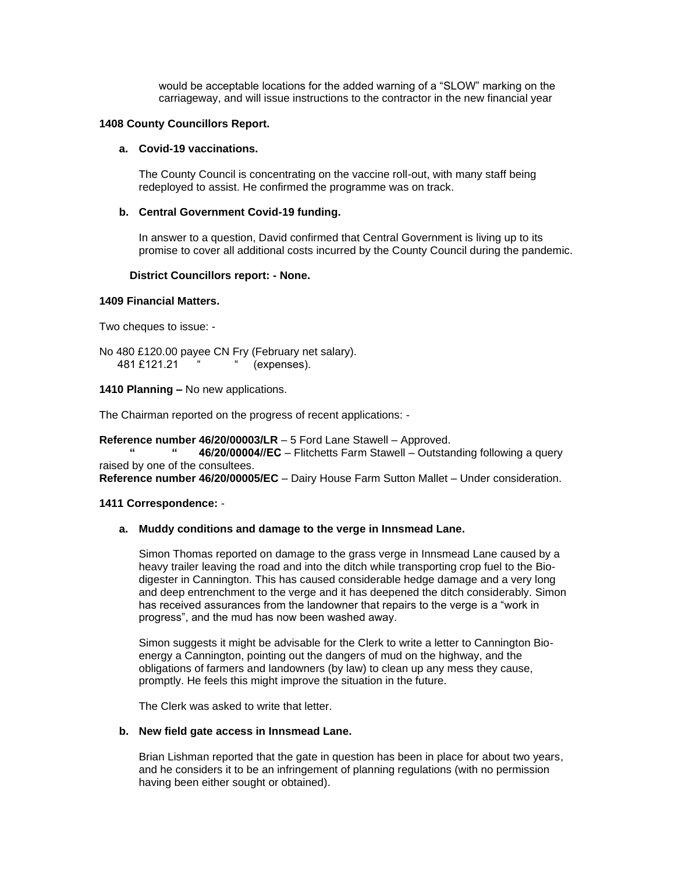would be acceptable locations for the added warning of a "SLOW" marking on the carriageway, and will issue instructions to the contractor in the new financial year

## **1408 County Councillors Report.**

# **a. Covid-19 vaccinations.**

The County Council is concentrating on the vaccine roll-out, with many staff being redeployed to assist. He confirmed the programme was on track.

# **b. Central Government Covid-19 funding.**

In answer to a question, David confirmed that Central Government is living up to its promise to cover all additional costs incurred by the County Council during the pandemic.

# **District Councillors report: - None.**

#### **1409 Financial Matters.**

Two cheques to issue: -

No 480 £120.00 payee CN Fry (February net salary). 481 £121.21 " (expenses).

# **1410 Planning –** No new applications.

The Chairman reported on the progress of recent applications: -

## **Reference number 46/20/00003/LR** – 5 Ford Lane Stawell – Approved.

**46/20/00004//EC** – Flitchetts Farm Stawell – Outstanding following a query raised by one of the consultees.

**Reference number 46/20/00005/EC** – Dairy House Farm Sutton Mallet – Under consideration.

## **1411 Correspondence:** -

## **a. Muddy conditions and damage to the verge in Innsmead Lane.**

Simon Thomas reported on damage to the grass verge in Innsmead Lane caused by a heavy trailer leaving the road and into the ditch while transporting crop fuel to the Biodigester in Cannington. This has caused considerable hedge damage and a very long and deep entrenchment to the verge and it has deepened the ditch considerably. Simon has received assurances from the landowner that repairs to the verge is a "work in progress", and the mud has now been washed away.

Simon suggests it might be advisable for the Clerk to write a letter to Cannington Bioenergy a Cannington, pointing out the dangers of mud on the highway, and the obligations of farmers and landowners (by law) to clean up any mess they cause, promptly. He feels this might improve the situation in the future.

The Clerk was asked to write that letter.

# **b. New field gate access in Innsmead Lane.**

Brian Lishman reported that the gate in question has been in place for about two years, and he considers it to be an infringement of planning regulations (with no permission having been either sought or obtained).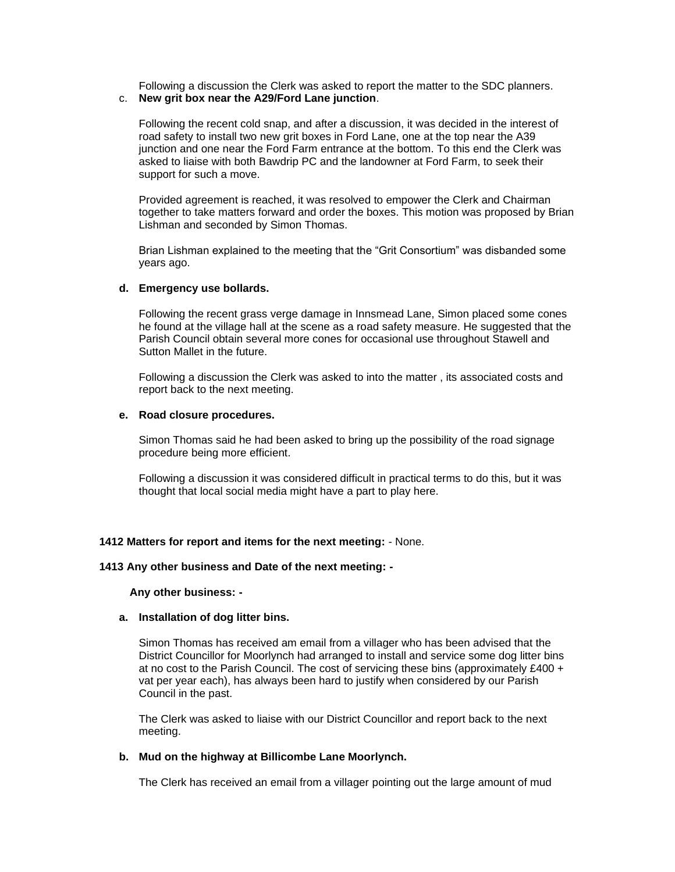Following a discussion the Clerk was asked to report the matter to the SDC planners. c. **New grit box near the A29/Ford Lane junction**.

Following the recent cold snap, and after a discussion, it was decided in the interest of road safety to install two new grit boxes in Ford Lane, one at the top near the A39 junction and one near the Ford Farm entrance at the bottom. To this end the Clerk was asked to liaise with both Bawdrip PC and the landowner at Ford Farm, to seek their support for such a move.

Provided agreement is reached, it was resolved to empower the Clerk and Chairman together to take matters forward and order the boxes. This motion was proposed by Brian Lishman and seconded by Simon Thomas.

Brian Lishman explained to the meeting that the "Grit Consortium" was disbanded some years ago.

# **d. Emergency use bollards.**

Following the recent grass verge damage in Innsmead Lane, Simon placed some cones he found at the village hall at the scene as a road safety measure. He suggested that the Parish Council obtain several more cones for occasional use throughout Stawell and Sutton Mallet in the future.

Following a discussion the Clerk was asked to into the matter , its associated costs and report back to the next meeting.

#### **e. Road closure procedures.**

Simon Thomas said he had been asked to bring up the possibility of the road signage procedure being more efficient.

Following a discussion it was considered difficult in practical terms to do this, but it was thought that local social media might have a part to play here.

#### **1412 Matters for report and items for the next meeting:** - None.

#### **1413 Any other business and Date of the next meeting: -**

#### **Any other business: -**

# **a. Installation of dog litter bins.**

Simon Thomas has received am email from a villager who has been advised that the District Councillor for Moorlynch had arranged to install and service some dog litter bins at no cost to the Parish Council. The cost of servicing these bins (approximately  $£400 +$ vat per year each), has always been hard to justify when considered by our Parish Council in the past.

The Clerk was asked to liaise with our District Councillor and report back to the next meeting.

# **b. Mud on the highway at Billicombe Lane Moorlynch.**

The Clerk has received an email from a villager pointing out the large amount of mud